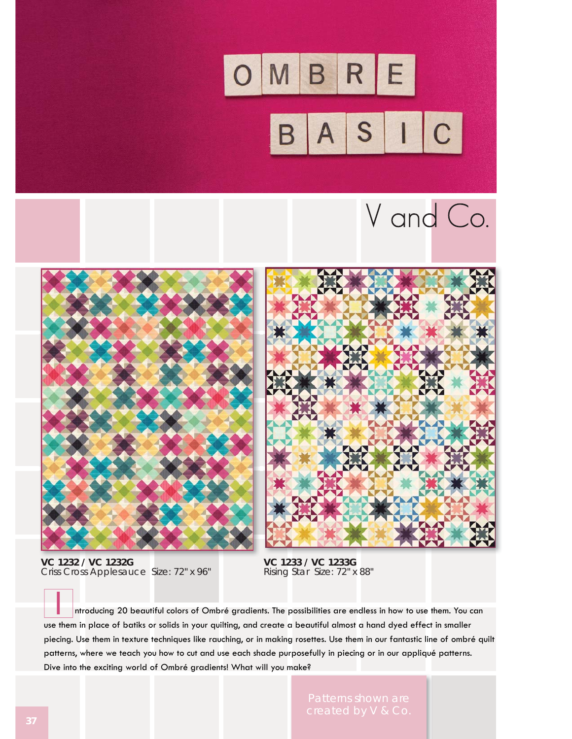

## V and Co.



**VC 1232 / VC 1232G**  Criss Cross Applesauce Size: 72" x 96"

**VC 1233 / VC 1233G**  Rising Star Size: 72" x 88"

 ntroducing 20 beautiful colors of Ombré gradients. The possibilities are endless in how to use them. You can use them in place of batiks or solids in your quilting, and create a beautiful almost a hand dyed effect in smaller piecing. Use them in texture techniques like rauching, or in making rosettes. Use them in our fantastic line of ombré quilt patterns, where we teach you how to cut and use each shade purposefully in piecing or in our appliqué patterns. Dive into the exciting world of Ombré gradients! What will you make?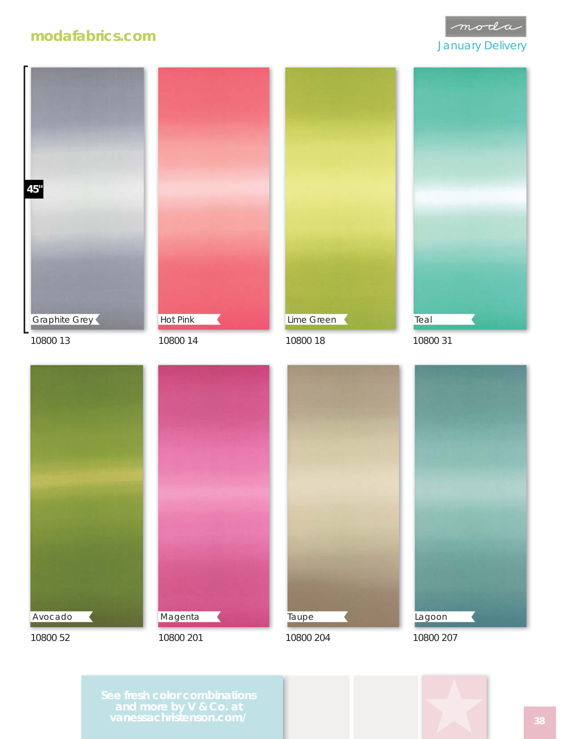## **modafabrics.com**





10800 13



10800 14



10800 18



10800 31



**Magenta** 



10800 204



10800 201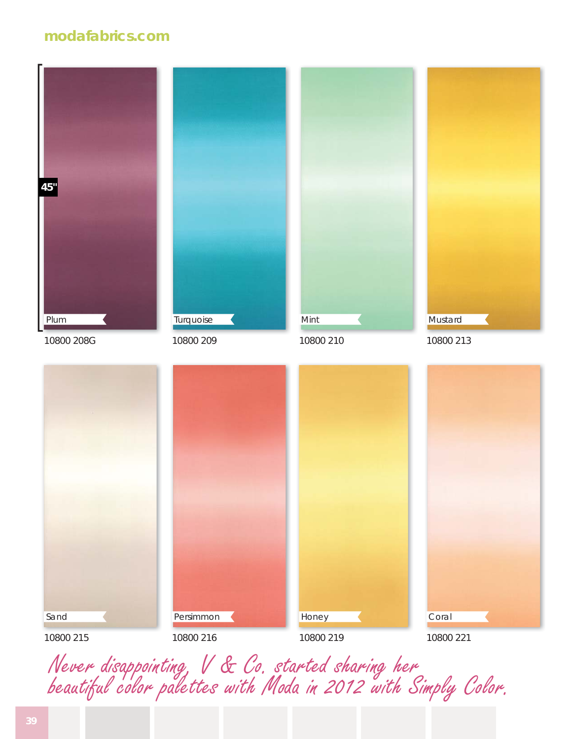## **modafabrics.com**



10800 208G

Turquoise

10800 209



10800 210







Never disappointing, V & Co. started sharing her beautiful color palettes with Moda in 2012 with Simply Color.